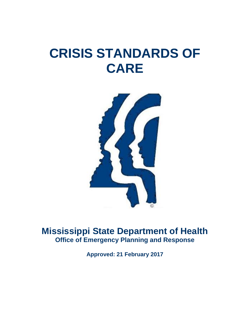# **CRISIS STANDARDS OF CARE**



# **Mississippi State Department of Health Office of Emergency Planning and Response**

**Approved: 21 February 2017**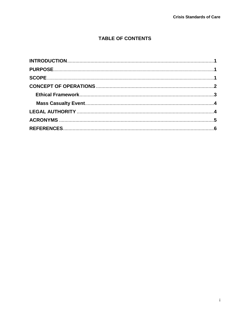# **TABLE OF CONTENTS**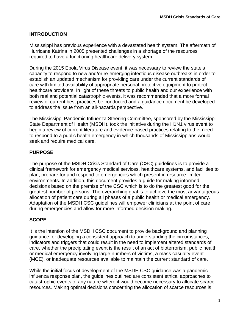#### **INTRODUCTION**

Mississippi has previous experience with a devastated health system. The aftermath of Hurricane Katrina in 2005 presented challenges in a shortage of the resources required to have a functioning healthcare delivery system.

During the 2015 Ebola Virus Disease event, it was necessary to review the state's capacity to respond to new and/or re-emerging infectious disease outbreaks in order to establish an updated mechanism for providing care under the current standards of care with limited availability of appropriate personal protective equipment to protect healthcare providers. In light of these threats to public health and our experience with both real and potential catastrophic events, it was recommended that a more formal review of current best practices be conducted and a guidance document be developed to address the issue from an all-hazards perspective.

The Mississippi Pandemic Influenza Steering Committee, sponsored by the Mississippi State Department of Health (MSDH), took the initiative during the H1N1 virus event to begin a review of current literature and evidence-based practices relating to the need to respond to a public health emergency in which thousands of Mississippians would seek and require medical care.

#### **PURPOSE**

The purpose of the MSDH Crisis Standard of Care (CSC) guidelines is to provide a clinical framework for emergency medical services, healthcare systems, and facilities to plan, prepare for and respond to emergencies which present in resource limited environments. In addition, this document provides a guide for making informed decisions based on the premise of the CSC which is to do the greatest good for the greatest number of persons. The overarching goal is to achieve the most advantageous allocation of patient care during all phases of a public health or medical emergency. Adaptation of the MSDH CSC guidelines will empower clinicians at the point of care during emergencies and allow for more informed decision making.

#### **SCOPE**

It is the intention of the MSDH CSC document to provide background and planning guidance for developing a consistent approach to understanding the circumstances, indicators and triggers that could result in the need to implement altered standards of care, whether the precipitating event is the result of an act of bioterrorism, public health or medical emergency involving large numbers of victims, a mass casualty event (MCE), or inadequate resources available to maintain the current standard of care.

While the initial focus of development of the MSDH CSC guidance was a pandemic influenza response plan, the guidelines outlined are consistent ethical approaches to catastrophic events of any nature where it would become necessary to allocate scarce resources. Making optimal decisions concerning the allocation of scarce resources is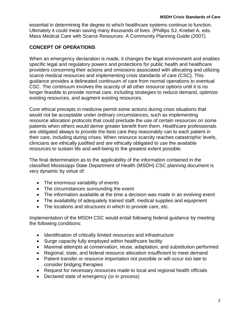essential in determining the degree to which healthcare systems continue to function. Ultimately it could mean saving many thousands of lives. (Phillips SJ, Knebel A, eds. Mass Medical Care with Scarce Resources: A Community Planning Guide (2007).

# **CONCEPT OF OPERATIONS**

When an emergency declaration is made, it changes the legal environment and enables specific legal and regulatory powers and protections for public health and healthcare providers concerning their actions and omissions associated with allocating and utilizing scarce medical resources and implementing crisis standards of care (CSC). This guidance provides a delineated continuum of care from normal operations to eventual CSC. The continuum involves the scarcity of all other resource options until it is no longer feasible to provide normal care, including strategies to reduce demand, optimize existing resources, and augment existing resources.

Core ethical precepts in medicine permit some actions during crisis situations that would not be acceptable under ordinary circumstances, such as implementing resource allocation protocols that could preclude the use of certain resources on some patients when others would derive greater benefit from them. Healthcare professionals are obligated always to provide the best care they reasonably can to each patient in their care, including during crises. When resource scarcity reaches catastrophic levels, clinicians are ethically justified and are ethically obligated to use the available resources to sustain life and well-being to the greatest extent possible.

The final determination as to the applicability of the information contained in the classified Mississippi State Department of Health (MSDH) CSC planning document is very dynamic by virtue of:

- The enormous variability of events
- The circumstances surrounding the event
- The information available at the time a decision was made in an evolving event
- The availability of adequately trained staff, medical supplies and equipment
- The locations and structures in which to provide care, etc.

Implementation of the MSDH CSC would entail following federal guidance by meeting the following conditions:

- Identification of critically limited resources and infrastructure
- Surge capacity fully employed within healthcare facility
- Maximal attempts at conservation, reuse, adaptation, and substitution performed
- Regional, state, and federal resource allocation insufficient to meet demand
- Patient transfer or resource importation not possible or will occur too late to consider bridging therapies
- Request for necessary resources made to local and regional health officials
- Declared state of emergency (or in process)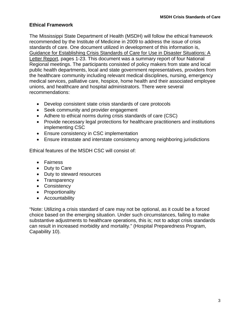### **Ethical Framework**

The Mississippi State Department of Health (MSDH) will follow the ethical framework recommended by the Institute of Medicine in 2009 to address the issue of crisis standards of care. One document utilized in development of this information is, Guidance for Establishing Crisis Standards of Care for Use in Disaster Situations: A Letter Report, pages 1-23. This document was a summary report of four National Regional meetings. The participants consisted of policy makers from state and local public health departments, local and state government representatives, providers from the healthcare community including relevant medical disciplines, nursing, emergency medical services, palliative care, hospice, home health and their associated employee unions, and healthcare and hospital administrators. There were several recommendations:

- Develop consistent state crisis standards of care protocols
- Seek community and provider engagement
- Adhere to ethical norms during crisis standards of care (CSC)
- Provide necessary legal protections for healthcare practitioners and institutions implementing CSC
- Ensure consistency in CSC implementation
- Ensure intrastate and interstate consistency among neighboring jurisdictions

Ethical features of the MSDH CSC will consist of:

- Fairness
- Duty to Care
- Duty to steward resources
- Transparency
- Consistency
- Proportionality
- Accountability

"Note: Utilizing a crisis standard of care may not be optional, as it could be a forced choice based on the emerging situation. Under such circumstances, failing to make substantive adjustments to healthcare operations, this is; not to adopt crisis standards can result in increased morbidity and mortality." (Hospital Preparedness Program, Capability 10).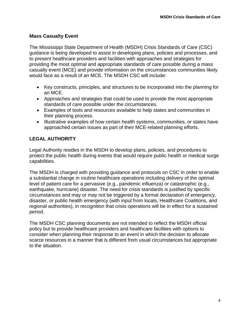### **Mass Casualty Event**

The Mississippi State Department of Health (MSDH) Crisis Standards of Care (CSC) guidance is being developed to assist in developing plans, policies and processes, and to present healthcare providers and facilities with approaches and strategies for providing the most optimal and appropriate standards of care possible during a mass casualty event (MCE) and provide information on the circumstances communities likely would face as a result of an MCE. The MSDH CSC will include:

- Key constructs, principles, and structures to be incorporated into the planning for an MCE.
- Approaches and strategies that could be used to provide the most appropriate standards of care possible under the circumstances.
- Examples of tools and resources available to help states and communities in their planning process.
- Illustrative examples of how certain health systems, communities, or states have approached certain issues as part of their MCE-related planning efforts.

## **LEGAL AUTHORITY**

Legal Authority resides in the MSDH to develop plans, policies, and procedures to protect the public health during events that would require public health or medical surge capabilities.

The MSDH is charged with providing guidance and protocols on CSC in order to enable a substantial change in routine healthcare operations including delivery of the optimal level of patient care for a pervasive (e.g., pandemic influenza) or catastrophic (e.g., earthquake, hurricane) disaster. The need for crisis standards is justified by specific circumstances and may or may not be triggered by a formal declaration of emergency, disaster, or public health emergency (with input from locals, Healthcare Coalitions, and regional authorities), in recognition that crisis operations will be in effect for a sustained period.

The MSDH CSC planning documents are not intended to reflect the MSDH official policy but to provide healthcare providers and healthcare facilities with options to consider when planning their response to an event in which the decision to allocate scarce resources in a manner that is different from usual circumstances but appropriate to the situation.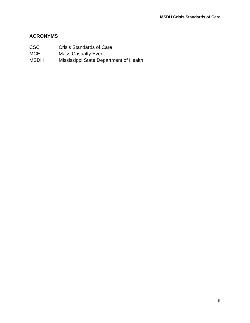### **ACRONYMS**

- CSC Crisis Standards of Care MCE Mass Casualty Event
- MSDH Mississippi State Department of Health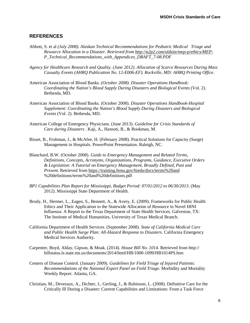#### **REFERENCES**

- Abbott, S. et al *(July 2008). Alaskan Technical Recommendations for Pediatric Medical Triage and Resource Allocation in a Disaster. Retrieved from<http://a2p2.com/oldsite/mep-p/ethics/MEP->P\_Technical\_Recommendations\_with\_Appendices\_DRAFT\_7-08.PDF*
- *Agency for Healthcare Research and Quality. (June 2012). Allocation of Scarce Resources During Mass Casualty Events (AHRQ Publication No. 12-E006-EF). Rockville, MD: AHRQ Printing Office.*
- American Association of Blood Banks*. (October 2008). Disaster Operations Handbook: Coordinating the Nation's Blood Supply During Disasters and Biological Events* (Vol. 2). Bethesda, MD.
- American Association of Blood Banks. (October 2008). *Disaster Operations Handbook-Hospital Supplement: Coordinating the Nation's Blood Supply During Disasters and Biological Events* (Vol. 2). Bethesda, MD.
- American College of Emergency Physicians. (June 2013). *Guideline for Crisis Standards of Care during Disasters* . Kaji, A., Hansoti, B., & Bookman, M.
- Bisset, B., Frohman, J., & McAfee, H. (February 2008). Practical Solutions for Capacity (Surge) Management in Hospitals. PowerPoint Presentation. Raleigh, NC.
- Blanchard, B.W*.* (October 2008). *Guide to Emergency Management and Related Terms, Definitions, Concepts, Acronyms, Organizations, Programs, Guidance, Executive Orders & Legislation: A Tutorial on Emergency Management, Broadly Defined, Past and Present*. Retrieved from <https://training.fema.gov/hiedu/docs/terms%20and> %20definitions/terms%20and%20definitions.pdf
- *BP1 Capabilities Plan Report for Mississippi, Budget Period: 07/01/2012 to 06/30/2013*. (May 2012). Mississippi State Department of Health.
- Brody, H., Hermer, L., Eagen, S., Bennett, A., & Avery, E. (2009). Frameworks for Public Health Ethics and Their Application to the Statewide Allocation of Resource in Novel HINI Influenza: A Report to the Texas Department of State Health Services. Galveston, TX: The Institute of Medical Humanities, University of Texas Medical Branch.
- California Department of Health Services. (September 2008). *State of California Medical Care and Public Health Surge Plan: All-Hazard Response to Disasters.* California Emergency Medical Services Authority.
- Carpenter, Boyd, Alday, Gipson, & Moak. (2014). *House Bill No. 1014*. Retrieved from http:// billstatus.ls.state.ms.us/documents/2014/html/HB/1000-1099/HB1014PS.htm
- Centers of Disease Control. (January 2009). *Guidelines for Field Triage of Injured Patients: Recommendations of the National Expert Panel on Field Triage.* Morbidity and Mortality Weekly Report. Atlanta, GA.
- Christian, M., Deveraux, A., Dichter, J., Gerling, J., & Rubinson, L. (2008). Definitive Care for the Critically Ill During a Disaster: Current Capabilities and Limitations: From a Task Force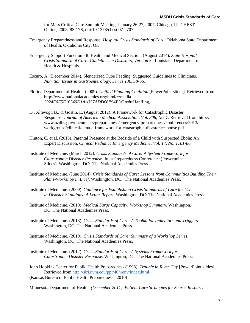for Mass Critical Care Summit Meeting, January 26-27, 2007, Chicago, IL. CHEST Online, 2008, 8S-17S, doi:10.1378/chest.07-2707

- Emergency Preparedness and Response. *Hospital Crisis Standards of Care*. Oklahoma State Department of Health. Oklahoma City, OK.
- Emergency Support Function 8: Health and Medical Section. (August 2014). *State Hospital Crisis Standard of Care: Guidelines in Disasters, Version 3* . Louisiana Department of Health & Hospitals.
- Escuro, A. (December 2014). Slenderized Tube Feeding: Suggested Guidelines to Clinicians. *Nutrition Issues in Gastroenterology, Series 136, 58-66.*
- Florida Department of Health. (2009). *Unified Planning Coalition* [PowerPoint slides]. Retrieved from [http://www.nationalacademies.org/hmd/~/media](http://www.nationalacademies.org/hmd/%7E/media) *2924F0E5E16549D1AA357ADD66E94B3C.ashx*Hanfling,
- D., Altevogt, B., & Gostin, L. (August 2012). A Framework for Catastrophic Disaster Response. *Journal of American Medical Association, Vol. 308, No. 7*. Retrieved from http:// [www.azdhs.gov/documents/preparedness/emergency-preparedness/conferences/2013/](http://www.azdhs.gov/documents/preparedness/emergency-preparedness/conferences/2013/) workgroups/clinical/jama-a-framework-for-catastrophic-disaster-response.pdf
- Hinton, C. et al. (2015). Parental Presence at the Bedside of a Child with Suspected Ebola: An Expert Discussion. *Clinical Pediatric Emergency Medicine, Vol. 17, No. 1, 81-86.*
- Institute of Medicine. (March 2012). *Crisis Standards of Care: A System Framework for Catastrophic Disaster Response*. Joint Preparedness Conference (Powerpoint Slides). Washington, DC: The National Academies Press.
- Institute of Medicine. (June 2014). *Crisis Standards of Care: Lessons from Communities Building Their Plans-Workshop in Brief*. Washington, DC: The National Academies Press.
- Institute of Medicine. (2009). *Guidance for Establishing Crisis Standards of Care for Use in Disaster Situations: A Letter Report.* Washington, DC: The National Academies Press.
- Institute of Medicine. (2010). *Medical Surge Capacity: Workshop Summary.* Washington, DC: The National Academies Press.
- Institute of Medicine. (2013). *Crisis Standards of Care: A Toolkit for Indicators and Triggers*. Washington, DC: The National Academies Press.
- Institute of Medicine. (2010). *Crisis Standards of Care: Summary of a Workshop Series.*  Washington, DC: The National Academies Press.
- Institute of Medicine. (2012). *Crisis Standards of Care: A Systems Framework for Catastrophic Disaster Response.* Washington, DC: The National Academies Press.

John Hopkins Center for Public Health Preparedness (1998). *Trouble in River City* [PowerPoint slides]. Retrieved from <http://siri.uvm.edu/ppt/40hrenv/index.html>

(Kansas Bureau of Public Health Preparedness , 2010)

Minnesota Department of Health*. (December 2011). Patient Care Strategies for Scarce Resource*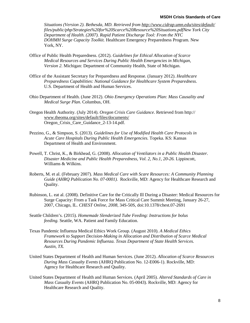*Situations (Version 2). Bethesda, MD. Retrieved from<http://www.cidrap.umn.edu/sites/default/> files/public/php/Strategies%20for%20Scarce%20Resource%20Situations.pdfNew York City Department of Health. (2007). Rapid Patient Discharge Tool: From the NYC DOHMH Surge Capacity Toolkit.* Healthcare Emergency Preparedness Program. New York, NY.

- Office of Public Health Preparedness. (2012). *Guidelines for Ethical Allocation of Scarce Medical Resources and Services During Public Health Emergencies in Michigan, Version 2.* Michigan: Department of Community Health, State of Michigan.
- Office of the Assistant Secretary for Preparedness and Response. (January 2012). *Healthcare Preparedness Capabilities: National Guidance for Healthcare System Preparedness.*  U.S. Department of Health and Human Services.
- Ohio Department of Health. (June 2012). *Ohio Emergency Operations Plan: Mass Causality and Medical Surge Plan*. Columbus, OH.
- Oregon Health Authority. (July 2014). *Oregon Crisis Care Guidance*. Retrieved from http:// [www.theoma.org/sites/default/files/documents/](http://www.theoma.org/sites/default/files/documents/) Oregon\_Crisis\_Care\_Guidance\_2-13-14.pdf.
- Pezzino, G., & Simpson, S. (2013). *Guidelines for Use of Modified Health Care Protocols in Acute Care Hospitals During Public Health Emergencies.* Topeka. KS: Kansas Department of Health and Environment.
- Powell, T. Christ, K., & Birkhead, G. (2008). *Allocation of Ventilators in a Public Health Disaster. Disaster Medicine and Public Health Preparedness, Vol. 2, No.1, 20-26.* Lippincott, Williams & Wilkins.
- Roberts, M. et al. (February 2007). *Mass Medical Care with Scare Resources: A Community Planning Guide (AHRQ Publication No. 07-0001).* Rockville, MD: Agency for Healthcare Research and Quality.
- Rubinson, L. eat al. (2008). Definitive Care for the Critically Ill During a Disaster: Medical Resources for Surge Capacity: From a Task Force for Mass Critical Care Summit Meeting, January 26-27, 2007, Chicago, IL. *CHEST Online, 2008,* 34S-50S, doi:10.1378/chest.07-2691
- Seattle Children's. (2015). *Homemade Slenderized Tube Feeding: Instructions for bolus feeding.* Seattle, WA. Patient and Family Education.
- Texas Pandemic Influenza Medical Ethics Work Group. (August 2010). *A Medical Ethics Framework to Support Decision-Making in Allocation and Distribution of Scarce Medical Resources During Pandemic Influenza. Texas Department of State Health Services. Austin, TX.*
- United States Department of Health and Human Services. (June 2012). *Allocation of Scarce Resources During Mass Casualty Events* (AHRQ Publication No. 12-E006-1). Rockville, MD: Agency for Healthcare Research and Quality.
- United States Department of Health and Human Services. (April 2005). *Altered Standards of Care in Mass Casualty Events* (AHRQ Publication No. 05-0043). Rockville, MD: Agency for Healthcare Research and Quality.